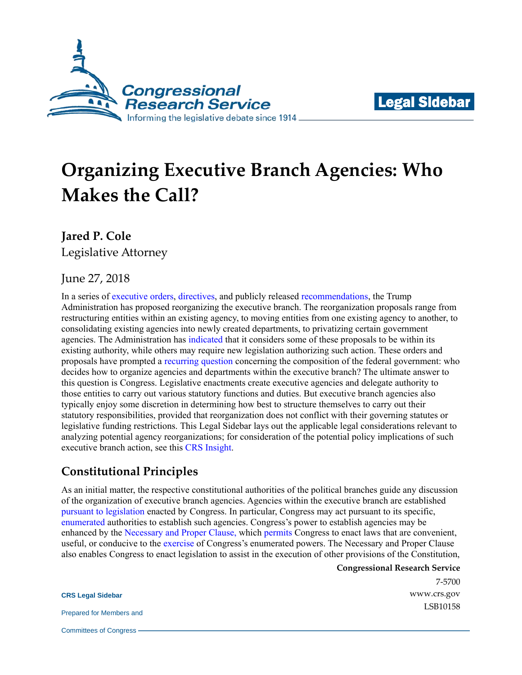



# **Organizing Executive Branch Agencies: Who Makes the Call?**

**Jared P. Cole**

Legislative Attorney

### June 27, 2018

In a series of [executive orders,](https://www.gpo.gov/fdsys/pkg/FR-2017-03-16/pdf/2017-05399.pdf) [directives,](https://abcnews.go.com/US/trumps-space-force/story?id=55983915) and publicly released [recommendations,](https://www.whitehouse.gov/wp-content/uploads/2018/06/Government-Reform-and-Reorg-Plan.pdf) the Trump Administration has proposed reorganizing the executive branch. The reorganization proposals range from restructuring entities within an existing agency, to moving entities from one existing agency to another, to consolidating existing agencies into newly created departments, to privatizing certain government agencies. The Administration has [indicated](https://www.whitehouse.gov/wp-content/uploads/2018/06/Government-Reform-and-Reorg-Plan.pdf) that it considers some of these proposals to be within its existing authority, while others may require new legislation authorizing such action. These orders and proposals have prompted a [recurring question](https://fas.org/sgp/crs/misc/R44909.pdf) concerning the composition of the federal government: who decides how to organize agencies and departments within the executive branch? The ultimate answer to this question is Congress. Legislative enactments create executive agencies and delegate authority to those entities to carry out various statutory functions and duties. But executive branch agencies also typically enjoy some discretion in determining how best to structure themselves to carry out their statutory responsibilities, provided that reorganization does not conflict with their governing statutes or legislative funding restrictions. This Legal Sidebar lays out the applicable legal considerations relevant to analyzing potential agency reorganizations; for consideration of the potential policy implications of such executive branch action, see this [CRS Insight.](https://fas.org/sgp/crs/misc/IN10920.pdf)

## **Constitutional Principles**

As an initial matter, the respective constitutional authorities of the political branches guide any discussion of the organization of executive branch agencies. Agencies within the executive branch are established [pursuant to legislation](https://supreme.justia.com/cases/federal/us/272/52/case.html) enacted by Congress. In particular, Congress may act pursuant to its specific, [enumerated](https://www.law.cornell.edu/constitution/articlei) authorities to establish such agencies. Congress's power to establish agencies may be enhanced by the [Necessary and Proper Clause,](https://www.law.cornell.edu/constitution/articleii) which [permits](https://supreme.justia.com/cases/federal/us/17/316/case.html) Congress to enact laws that are convenient, useful, or conducive to the [exercise](https://www.law.cornell.edu/supremecourt/text/424/1) of Congress's enumerated powers. The Necessary and Proper Clause also enables Congress to enact legislation to assist in the execution of other provisions of the Constitution,

**Congressional Research Service**

7-5700 [www.crs.gov](http://www.crs.gov/) LSB10158

**CRS Legal Sidebar**

Prepared for Members and

Committees of Congress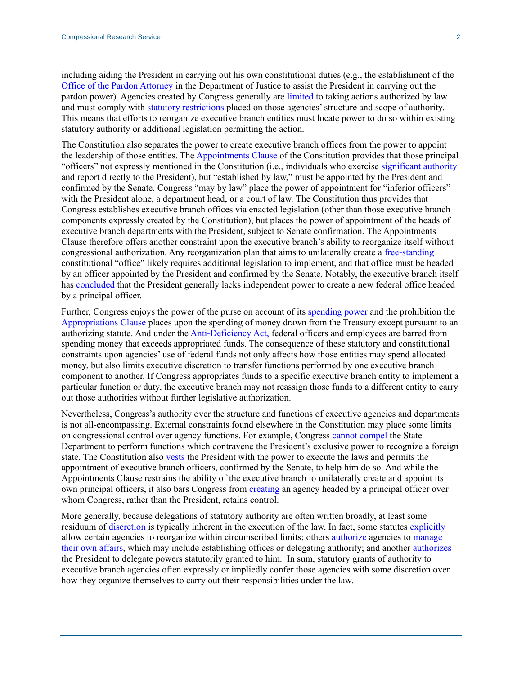including aiding the President in carrying out his own constitutional duties (e.g., the establishment of the [Office of the Pardon Attorney](https://www.justice.gov/pardon) in the Department of Justice to assist the President in carrying out the pardon power). Agencies created by Congress generally are [limited](https://caselaw.findlaw.com/us-supreme-court/476/355.html) to taking actions authorized by law and must comply with [statutory restrictions](https://www.law.cornell.edu/uscode/text/5/part-I/chapter-5/subchapter-II) placed on those agencies' structure and scope of authority. This means that efforts to reorganize executive branch entities must locate power to do so within existing statutory authority or additional legislation permitting the action.

The Constitution also separates the power to create executive branch offices from the power to appoint the leadership of those entities. Th[e Appointments Clause](https://constitutioncenter.org/interactive-constitution/articles/article-ii#section-2) of the Constitution provides that those principal "officers" not expressly mentioned in the Constitution (i.e., individuals who exercise [significant authority](https://www.law.cornell.edu/supremecourt/text/424/1#writing-USSC_CR_0424_0001_ZO) and report directly to the President), but "established by law," must be appointed by the President and confirmed by the Senate. Congress "may by law" place the power of appointment for "inferior officers" with the President alone, a department head, or a court of law. The Constitution thus provides that Congress establishes executive branch offices via enacted legislation (other than those executive branch components expressly created by the Constitution), but places the power of appointment of the heads of executive branch departments with the President, subject to Senate confirmation. The Appointments Clause therefore offers another constraint upon the executive branch's ability to reorganize itself without congressional authorization. Any reorganization plan that aims to unilaterally create a [free-standing](https://www.law.cornell.edu/supct/html/08-861.ZO.html#11ref) constitutional "office" likely requires additional legislation to implement, and that office must be headed by an officer appointed by the President and confirmed by the Senate. Notably, the executive branch itself has [concluded](https://www.justice.gov/file/23751/download) that the President generally lacks independent power to create a new federal office headed by a principal officer.

Further, Congress enjoys the power of the purse on account of its [spending power](https://constitutioncenter.org/interactive-constitution/articles/article-i#taxing-clause) and the prohibition the [Appropriations Clause](https://constitutioncenter.org/interactive-constitution/articles/article-i#appropriations-claus) places upon the spending of money drawn from the Treasury except pursuant to an authorizing statute. And under th[e Anti-Deficiency Act,](https://www.law.cornell.edu/uscode/text/31/1341) federal officers and employees are barred from spending money that exceeds appropriated funds. The consequence of these statutory and constitutional constraints upon agencies' use of federal funds not only affects how those entities may spend allocated money, but also limits executive discretion to transfer functions performed by one executive branch component to another. If Congress appropriates funds to a specific executive branch entity to implement a particular function or duty, the executive branch may not reassign those funds to a different entity to carry out those authorities without further legislative authorization.

Nevertheless, Congress's authority over the structure and functions of executive agencies and departments is not all-encompassing. External constraints found elsewhere in the Constitution may place some limits on congressional control over agency functions. For example, Congress [cannot compel](https://www.supremecourt.gov/opinions/14pdf/13-628_3dq3.pdf) the State Department to perform functions which contravene the President's exclusive power to recognize a foreign state. The Constitution also [vests](https://www.law.cornell.edu/constitution/articleii) the President with the power to execute the laws and permits the appointment of executive branch officers, confirmed by the Senate, to help him do so. And while the Appointments Clause restrains the ability of the executive branch to unilaterally create and appoint its own principal officers, it also bars Congress from [creating](https://supreme.justia.com/cases/federal/us/478/714/case.html) an agency headed by a principal officer over whom Congress, rather than the President, retains control.

More generally, because delegations of statutory authority are often written broadly, at least some residuum of [discretion](https://supreme.justia.com/cases/federal/us/470/821/case.html) is typically inherent in the execution of the law. In fact, some statutes [explicitly](https://www.law.cornell.edu/uscode/text/6/452) allow certain agencies to reorganize within circumscribed limits; others [authorize](https://www.law.cornell.edu/uscode/text/6/112) agencies to [manage](https://supreme.justia.com/cases/federal/us/441/281/)  [their own affairs,](https://supreme.justia.com/cases/federal/us/441/281/) which may include establishing offices or delegating authority; and another [authorizes](https://www.law.cornell.edu/uscode/text/3/301) the President to delegate powers statutorily granted to him. In sum, statutory grants of authority to executive branch agencies often expressly or impliedly confer those agencies with some discretion over how they organize themselves to carry out their responsibilities under the law.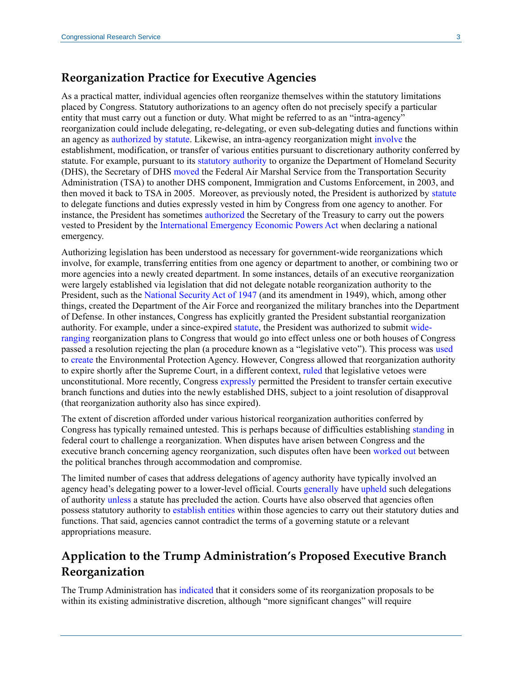### **Reorganization Practice for Executive Agencies**

As a practical matter, individual agencies often reorganize themselves within the statutory limitations placed by Congress. Statutory authorizations to an agency often do not precisely specify a particular entity that must carry out a function or duty. What might be referred to as an "intra-agency" reorganization could include delegating, re-delegating, or even sub-delegating duties and functions within an agency as [authorized by statute.](https://www.law.cornell.edu/uscode/text/18/4102) Likewise, an intra-agency reorganization might [involve](http://www.crs.gov/Reports/R44909?source=search&guid=ecde52daae514d9cbb86b81dc2a62f7f&index=2) the establishment, modification, or transfer of various entities pursuant to discretionary authority conferred by statute. For example, pursuant to its [statutory authority](https://www.law.cornell.edu/uscode/text/6/452) to organize the Department of Homeland Security (DHS), the Secretary of DHS [moved](https://www.congress.gov/congressional-report/112th-congress/senate-report/249/1) the Federal Air Marshal Service from the Transportation Security Administration (TSA) to another DHS component, Immigration and Customs Enforcement, in 2003, and then moved it back to TSA in 2005. Moreover, as previously noted, the President is authorized by [statute](https://www.law.cornell.edu/uscode/text/3/301) to delegate functions and duties expressly vested in him by Congress from one agency to another. For instance, the President has sometimes [authorized](http://www.presidency.ucsb.edu/ws/index.php?pid=31686) the Secretary of the Treasury to carry out the powers vested to President by the [International Emergency Economic Powers Act](https://www.law.cornell.edu/uscode/text/50/1701) when declaring a national emergency.

Authorizing legislation has been understood as necessary for government-wide reorganizations which involve, for example, transferring entities from one agency or department to another, or combining two or more agencies into a newly created department. In some instances, details of an executive reorganization were largely established via legislation that did not delegate notable reorganization authority to the President, such as the [National Security Act of 1947](https://www.intelligence.senate.gov/sites/default/files/laws/nsact1947.pdf) (and its amendment in 1949), which, among other things, created the Department of the Air Force and reorganized the military branches into the Department of Defense. In other instances, Congress has explicitly granted the President substantial reorganization authority. For example, under a since-expired [statute,](https://www.law.cornell.edu/uscode/text/5/901) the President was authorized to submit [wide](https://www.law.cornell.edu/uscode/text/5/903)[ranging](https://www.law.cornell.edu/uscode/text/5/903) reorganization plans to Congress that would go into effect unless one or both houses of Congress passed a resolution rejecting the plan (a procedure known as a "legislative veto"). This process was [used](https://fas.org/sgp/crs/misc/R44909.pdf) to [create](https://archive.epa.gov/epa/aboutepa/reorganization-plan-no-3-1970.html) the Environmental Protection Agency. However, Congress allowed that reorganization authority to expire shortly after the Supreme Court, in a different context, [ruled](https://supreme.justia.com/cases/federal/us/462/919/case.html) that legislative vetoes were unconstitutional. More recently, Congress [expressly](https://www.congress.gov/107/plaws/publ296/PLAW-107publ296.pdf) permitted the President to transfer certain executive branch functions and duties into the newly established DHS, subject to a joint resolution of disapproval (that reorganization authority also has since expired).

The extent of discretion afforded under various historical reorganization authorities conferred by Congress has typically remained untested. This is perhaps because of difficulties establishing [standing](https://supreme.justia.com/cases/federal/us/504/555/case.html) in federal court to challenge a reorganization. When disputes have arisen between Congress and the executive branch concerning agency reorganization, such disputes often have been [worked out](http://www.crs.gov/Reports/R44909?source=search&guid=cd511520ccc54d3b9ed11356e63f4465&index=3) between the political branches through accommodation and compromise.

The limited number of cases that address delegations of agency authority have typically involved an agency head's delegating power to a lower-level official. Courts [generally](https://www.leagle.com/decision/19901668909f2d75911528) have [upheld](https://supreme.justia.com/cases/federal/us/331/111/case.html) such delegations of authority [unless](https://supreme.justia.com/cases/federal/us/315/357/) a statute has precluded the action. Courts have also observed that agencies often possess statutory authority to [establish entities](https://casetext.com/case/willy-v-administrative-review-bd) within those agencies to carry out their statutory duties and functions. That said, agencies cannot contradict the terms of a governing statute or a relevant appropriations measure.

## **Application to the Trump Administration's Proposed Executive Branch Reorganization**

The Trump Administration has [indicated](https://www.whitehouse.gov/wp-content/uploads/2018/06/Government-Reform-and-Reorg-Plan.pdf) that it considers some of its reorganization proposals to be within its existing administrative discretion, although "more significant changes" will require